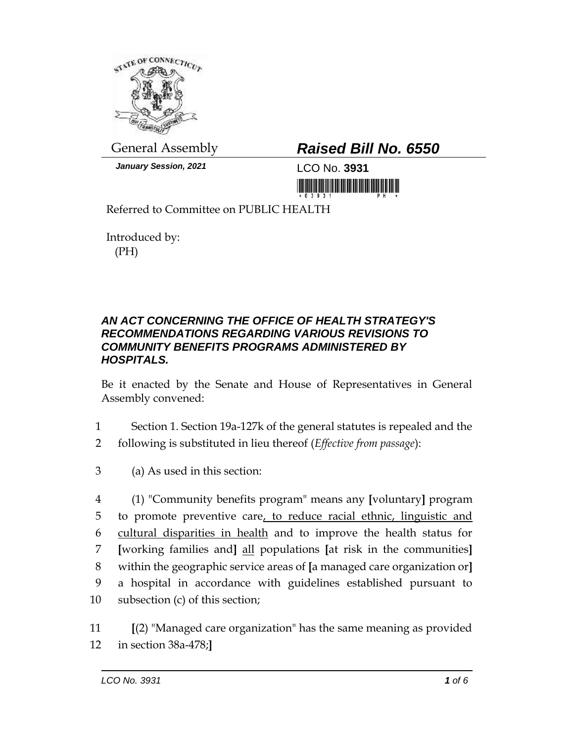

*January Session, 2021* LCO No. **3931**

## General Assembly *Raised Bill No. 6550*

<u> III MARIJI III MARIJI III MARIJI III MARIJI III MARIJI III MARIJI III MARIJI III MARIJI III MARIJI III MARIJ</u>

Referred to Committee on PUBLIC HEALTH

Introduced by: (PH)

## *AN ACT CONCERNING THE OFFICE OF HEALTH STRATEGY'S RECOMMENDATIONS REGARDING VARIOUS REVISIONS TO COMMUNITY BENEFITS PROGRAMS ADMINISTERED BY HOSPITALS.*

Be it enacted by the Senate and House of Representatives in General Assembly convened:

- 1 Section 1. Section 19a-127k of the general statutes is repealed and the
- 2 following is substituted in lieu thereof (*Effective from passage*):
- 3 (a) As used in this section:

 (1) "Community benefits program" means any **[**voluntary**]** program 5 to promote preventive care, to reduce racial ethnic, linguistic and cultural disparities in health and to improve the health status for **[**working families and**]** all populations **[**at risk in the communities**]** within the geographic service areas of **[**a managed care organization or**]** a hospital in accordance with guidelines established pursuant to subsection (c) of this section;

11 **[**(2) "Managed care organization" has the same meaning as provided 12 in section 38a-478;**]**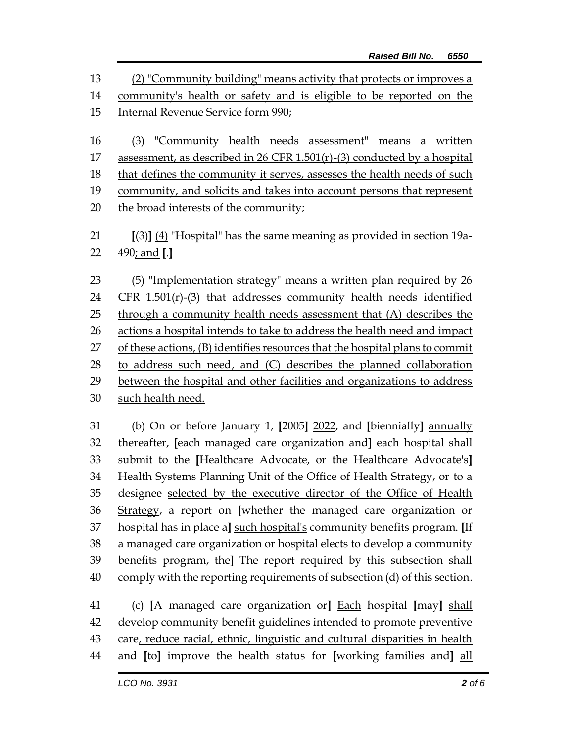(2) "Community building" means activity that protects or improves a community's health or safety and is eligible to be reported on the Internal Revenue Service form 990; (3) "Community health needs assessment" means a written assessment, as described in 26 CFR 1.501(r)-(3) conducted by a hospital that defines the community it serves, assesses the health needs of such community, and solicits and takes into account persons that represent 20 the broad interests of the community; **[**(3)**]** (4) "Hospital" has the same meaning as provided in section 19a- 490; and **[**.**]** (5) "Implementation strategy" means a written plan required by 26 CFR 1.501(r)-(3) that addresses community health needs identified through a community health needs assessment that (A) describes the actions a hospital intends to take to address the health need and impact 27 of these actions, (B) identifies resources that the hospital plans to commit to address such need, and (C) describes the planned collaboration between the hospital and other facilities and organizations to address such health need.

 (b) On or before January 1, **[**2005**]** 2022, and **[**biennially**]** annually thereafter, **[**each managed care organization and**]** each hospital shall submit to the **[**Healthcare Advocate, or the Healthcare Advocate's**]** Health Systems Planning Unit of the Office of Health Strategy, or to a designee selected by the executive director of the Office of Health Strategy, a report on **[**whether the managed care organization or hospital has in place a**]** such hospital's community benefits program. **[**If a managed care organization or hospital elects to develop a community benefits program, the**]** The report required by this subsection shall comply with the reporting requirements of subsection (d) of this section.

 (c) **[**A managed care organization or**]** Each hospital **[**may**]** shall develop community benefit guidelines intended to promote preventive care, reduce racial, ethnic, linguistic and cultural disparities in health and **[**to**]** improve the health status for **[**working families and**]** all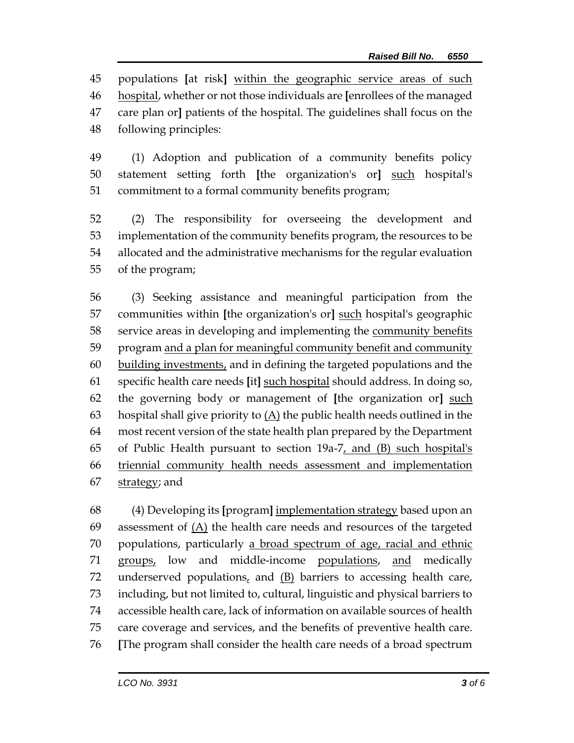populations **[**at risk**]** within the geographic service areas of such hospital, whether or not those individuals are **[**enrollees of the managed care plan or**]** patients of the hospital. The guidelines shall focus on the following principles:

 (1) Adoption and publication of a community benefits policy statement setting forth **[**the organization's or**]** such hospital's commitment to a formal community benefits program;

 (2) The responsibility for overseeing the development and implementation of the community benefits program, the resources to be allocated and the administrative mechanisms for the regular evaluation of the program;

 (3) Seeking assistance and meaningful participation from the communities within **[**the organization's or**]** such hospital's geographic service areas in developing and implementing the community benefits program and a plan for meaningful community benefit and community building investments, and in defining the targeted populations and the specific health care needs **[**it**]** such hospital should address. In doing so, the governing body or management of **[**the organization or**]** such 63 hospital shall give priority to  $(A)$  the public health needs outlined in the most recent version of the state health plan prepared by the Department of Public Health pursuant to section 19a-7, and (B) such hospital's triennial community health needs assessment and implementation 67 strategy; and

 (4) Developing its **[**program**]** implementation strategy based upon an assessment of (A) the health care needs and resources of the targeted populations, particularly a broad spectrum of age, racial and ethnic groups, low and middle-income populations, and medically underserved populations, and (B) barriers to accessing health care, including, but not limited to, cultural, linguistic and physical barriers to accessible health care, lack of information on available sources of health care coverage and services, and the benefits of preventive health care. **[**The program shall consider the health care needs of a broad spectrum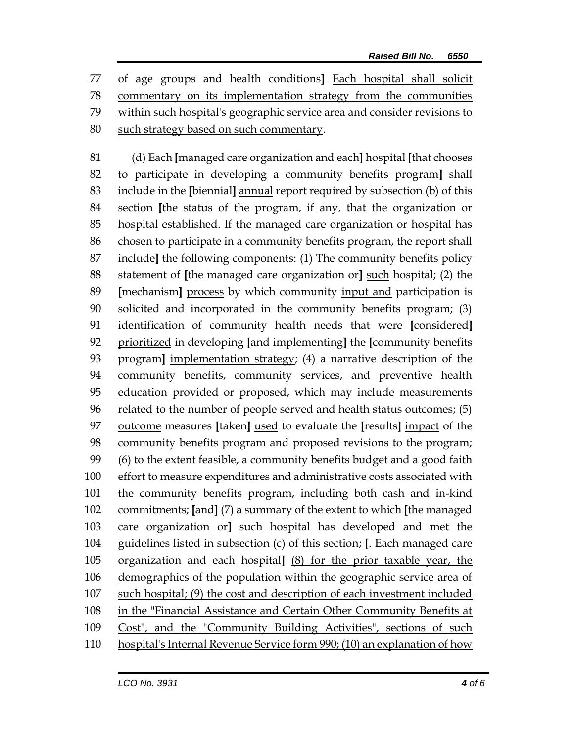of age groups and health conditions**]** Each hospital shall solicit commentary on its implementation strategy from the communities within such hospital's geographic service area and consider revisions to 80 such strategy based on such commentary.

 (d) Each **[**managed care organization and each**]** hospital **[**that chooses to participate in developing a community benefits program**]** shall include in the **[**biennial**]** annual report required by subsection (b) of this section **[**the status of the program, if any, that the organization or hospital established. If the managed care organization or hospital has chosen to participate in a community benefits program, the report shall include**]** the following components: (1) The community benefits policy statement of **[**the managed care organization or**]** such hospital; (2) the **[**mechanism**]** process by which community input and participation is solicited and incorporated in the community benefits program; (3) identification of community health needs that were **[**considered**]** prioritized in developing **[**and implementing**]** the **[**community benefits program**]** implementation strategy; (4) a narrative description of the community benefits, community services, and preventive health education provided or proposed, which may include measurements related to the number of people served and health status outcomes; (5) outcome measures **[**taken**]** used to evaluate the **[**results**]** impact of the community benefits program and proposed revisions to the program; (6) to the extent feasible, a community benefits budget and a good faith effort to measure expenditures and administrative costs associated with the community benefits program, including both cash and in-kind commitments; **[**and**]** (7) a summary of the extent to which **[**the managed care organization or**]** such hospital has developed and met the guidelines listed in subsection (c) of this section; **[**. Each managed care organization and each hospital**]** (8) for the prior taxable year, the demographics of the population within the geographic service area of such hospital; (9) the cost and description of each investment included in the "Financial Assistance and Certain Other Community Benefits at Cost", and the "Community Building Activities", sections of such hospital's Internal Revenue Service form 990; (10) an explanation of how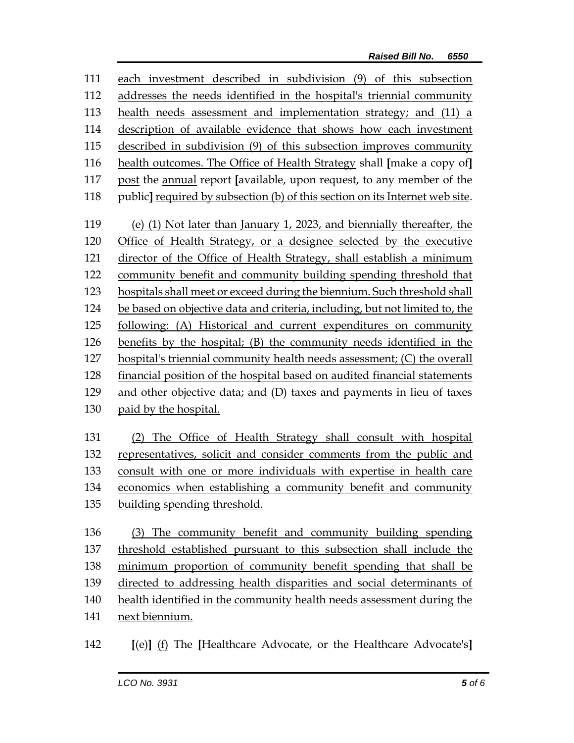| 111 | each investment described in subdivision (9) of this subsection              |  |  |
|-----|------------------------------------------------------------------------------|--|--|
| 112 | addresses the needs identified in the hospital's triennial community         |  |  |
| 113 | health needs assessment and implementation strategy; and (11) a              |  |  |
| 114 | description of available evidence that shows how each investment             |  |  |
| 115 | described in subdivision (9) of this subsection improves community           |  |  |
| 116 | health outcomes. The Office of Health Strategy shall [make a copy of]        |  |  |
| 117 | post the annual report [available, upon request, to any member of the        |  |  |
| 118 | public] required by subsection (b) of this section on its Internet web site. |  |  |
| 119 | (e) (1) Not later than January 1, 2023, and biennially thereafter, the       |  |  |
| 120 | Office of Health Strategy, or a designee selected by the executive           |  |  |
| 121 | director of the Office of Health Strategy, shall establish a minimum         |  |  |
| 122 | community benefit and community building spending threshold that             |  |  |
| 123 | hospitals shall meet or exceed during the biennium. Such threshold shall     |  |  |
| 124 | be based on objective data and criteria, including, but not limited to, the  |  |  |
| 125 | following: (A) Historical and current expenditures on community              |  |  |
| 126 | benefits by the hospital; (B) the community needs identified in the          |  |  |
| 127 | hospital's triennial community health needs assessment; (C) the overall      |  |  |
| 128 | financial position of the hospital based on audited financial statements     |  |  |
| 129 | and other objective data; and (D) taxes and payments in lieu of taxes        |  |  |
| 130 | paid by the hospital.                                                        |  |  |
| 131 | (2) The Office of Health Strategy shall consult with hospital                |  |  |
| 132 | representatives, solicit and consider comments from the public and           |  |  |
| 133 | consult with one or more individuals with expertise in health care           |  |  |
| 134 | economics when establishing a community benefit and community                |  |  |
| 135 | building spending threshold.                                                 |  |  |
| 136 | (3) The community benefit and community building spending                    |  |  |
| 137 | threshold established pursuant to this subsection shall include the          |  |  |
| 138 | minimum proportion of community benefit spending that shall be               |  |  |
| 139 | directed to addressing health disparities and social determinants of         |  |  |
| 140 | health identified in the community health needs assessment during the        |  |  |
| 141 | next biennium.                                                               |  |  |
| 142 | [(e)] (f) The [Healthcare Advocate, or the Healthcare Advocate's]            |  |  |